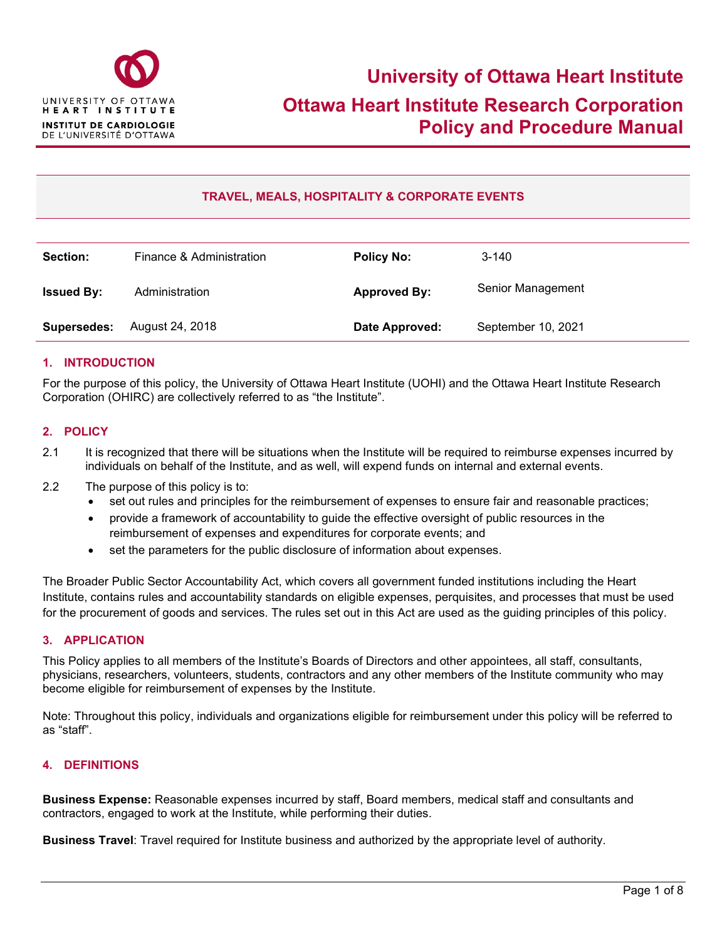

# **TRAVEL, MEALS, HOSPITALITY & CORPORATE EVENTS**

| Section:           | Finance & Administration | <b>Policy No:</b>   | $3 - 140$          |
|--------------------|--------------------------|---------------------|--------------------|
| <b>Issued By:</b>  | Administration           | <b>Approved By:</b> | Senior Management  |
| <b>Supersedes:</b> | August 24, 2018          | Date Approved:      | September 10, 2021 |

#### **1. INTRODUCTION**

For the purpose of this policy, the University of Ottawa Heart Institute (UOHI) and the Ottawa Heart Institute Research Corporation (OHIRC) are collectively referred to as "the Institute".

#### **2. POLICY**

- 2.1 It is recognized that there will be situations when the Institute will be required to reimburse expenses incurred by individuals on behalf of the Institute, and as well, will expend funds on internal and external events.
- 2.2 The purpose of this policy is to:
	- set out rules and principles for the reimbursement of expenses to ensure fair and reasonable practices;
	- provide a framework of accountability to guide the effective oversight of public resources in the reimbursement of expenses and expenditures for corporate events; and
	- set the parameters for the public disclosure of information about expenses.

The Broader Public Sector Accountability Act, which covers all government funded institutions including the Heart Institute, contains rules and accountability standards on eligible expenses, perquisites, and processes that must be used for the procurement of goods and services. The rules set out in this Act are used as the guiding principles of this policy.

#### **3. APPLICATION**

This Policy applies to all members of the Institute's Boards of Directors and other appointees, all staff, consultants, physicians, researchers, volunteers, students, contractors and any other members of the Institute community who may become eligible for reimbursement of expenses by the Institute.

Note: Throughout this policy, individuals and organizations eligible for reimbursement under this policy will be referred to as "staff".

#### **4. DEFINITIONS**

**Business Expense:** Reasonable expenses incurred by staff, Board members, medical staff and consultants and contractors, engaged to work at the Institute, while performing their duties.

**Business Travel**: Travel required for Institute business and authorized by the appropriate level of authority.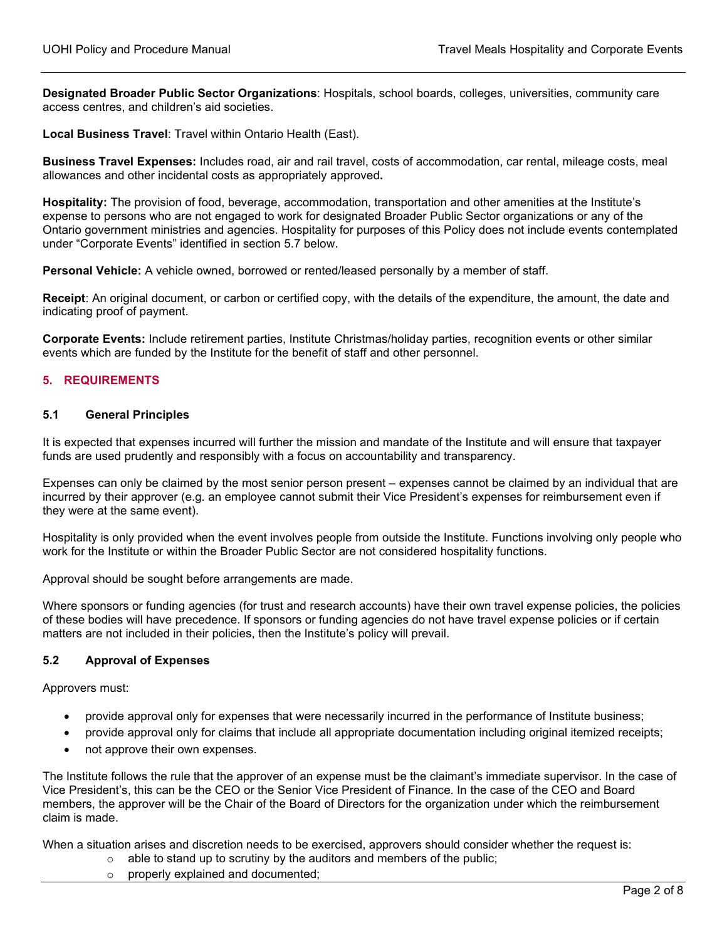**Designated Broader Public Sector Organizations**: Hospitals, school boards, colleges, universities, community care access centres, and children's aid societies.

**Local Business Travel**: Travel within Ontario Health (East).

**Business Travel Expenses:** Includes road, air and rail travel, costs of accommodation, car rental, mileage costs, meal allowances and other incidental costs as appropriately approved**.**

**Hospitality:** The provision of food, beverage, accommodation, transportation and other amenities at the Institute's expense to persons who are not engaged to work for designated Broader Public Sector organizations or any of the Ontario government ministries and agencies. Hospitality for purposes of this Policy does not include events contemplated under "Corporate Events" identified in section 5.7 below.

**Personal Vehicle:** A vehicle owned, borrowed or rented/leased personally by a member of staff.

**Receipt**: An original document, or carbon or certified copy, with the details of the expenditure, the amount, the date and indicating proof of payment.

**Corporate Events:** Include retirement parties, Institute Christmas/holiday parties, recognition events or other similar events which are funded by the Institute for the benefit of staff and other personnel.

#### **5. REQUIREMENTS**

#### **5.1 General Principles**

It is expected that expenses incurred will further the mission and mandate of the Institute and will ensure that taxpayer funds are used prudently and responsibly with a focus on accountability and transparency.

Expenses can only be claimed by the most senior person present – expenses cannot be claimed by an individual that are incurred by their approver (e.g. an employee cannot submit their Vice President's expenses for reimbursement even if they were at the same event).

Hospitality is only provided when the event involves people from outside the Institute. Functions involving only people who work for the Institute or within the Broader Public Sector are not considered hospitality functions.

Approval should be sought before arrangements are made.

Where sponsors or funding agencies (for trust and research accounts) have their own travel expense policies, the policies of these bodies will have precedence. If sponsors or funding agencies do not have travel expense policies or if certain matters are not included in their policies, then the Institute's policy will prevail.

#### **5.2 Approval of Expenses**

Approvers must:

- provide approval only for expenses that were necessarily incurred in the performance of Institute business;
- provide approval only for claims that include all appropriate documentation including original itemized receipts;
- not approve their own expenses.

The Institute follows the rule that the approver of an expense must be the claimant's immediate supervisor. In the case of Vice President's, this can be the CEO or the Senior Vice President of Finance. In the case of the CEO and Board members, the approver will be the Chair of the Board of Directors for the organization under which the reimbursement claim is made.

When a situation arises and discretion needs to be exercised, approvers should consider whether the request is:

- $\circ$  able to stand up to scrutiny by the auditors and members of the public;
	- o properly explained and documented;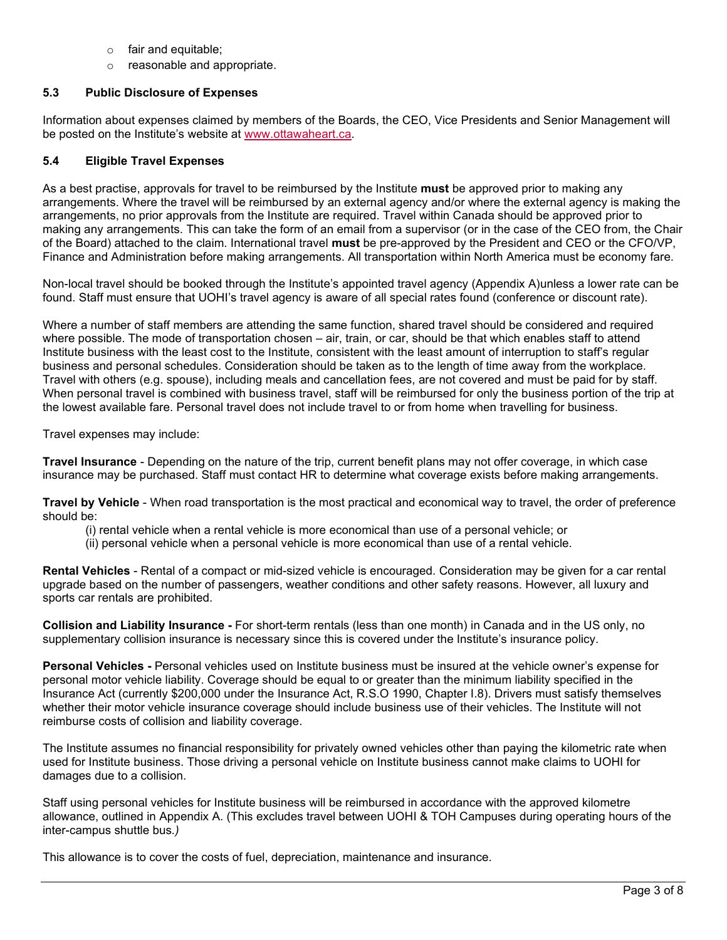- o fair and equitable;
- o reasonable and appropriate.

### **5.3 Public Disclosure of Expenses**

Information about expenses claimed by members of the Boards, the CEO, Vice Presidents and Senior Management will be posted on the Institute's website at [www.ottawaheart.ca.](http://www.ottawaheart.ca/)

#### **5.4 Eligible Travel Expenses**

As a best practise, approvals for travel to be reimbursed by the Institute **must** be approved prior to making any arrangements. Where the travel will be reimbursed by an external agency and/or where the external agency is making the arrangements, no prior approvals from the Institute are required. Travel within Canada should be approved prior to making any arrangements. This can take the form of an email from a supervisor (or in the case of the CEO from, the Chair of the Board) attached to the claim. International travel **must** be pre-approved by the President and CEO or the CFO/VP, Finance and Administration before making arrangements. All transportation within North America must be economy fare.

Non-local travel should be booked through the Institute's appointed travel agency (Appendix A)unless a lower rate can be found. Staff must ensure that UOHI's travel agency is aware of all special rates found (conference or discount rate).

Where a number of staff members are attending the same function, shared travel should be considered and required where possible. The mode of transportation chosen – air, train, or car, should be that which enables staff to attend Institute business with the least cost to the Institute, consistent with the least amount of interruption to staff's regular business and personal schedules. Consideration should be taken as to the length of time away from the workplace. Travel with others (e.g. spouse), including meals and cancellation fees, are not covered and must be paid for by staff. When personal travel is combined with business travel, staff will be reimbursed for only the business portion of the trip at the lowest available fare. Personal travel does not include travel to or from home when travelling for business.

Travel expenses may include:

**Travel Insurance** - Depending on the nature of the trip, current benefit plans may not offer coverage, in which case insurance may be purchased. Staff must contact HR to determine what coverage exists before making arrangements.

**Travel by Vehicle** - When road transportation is the most practical and economical way to travel, the order of preference should be:

- (i) rental vehicle when a rental vehicle is more economical than use of a personal vehicle; or
- (ii) personal vehicle when a personal vehicle is more economical than use of a rental vehicle.

**Rental Vehicles** - Rental of a compact or mid-sized vehicle is encouraged. Consideration may be given for a car rental upgrade based on the number of passengers, weather conditions and other safety reasons. However, all luxury and sports car rentals are prohibited.

**Collision and Liability Insurance -** For short-term rentals (less than one month) in Canada and in the US only, no supplementary collision insurance is necessary since this is covered under the Institute's insurance policy.

**Personal Vehicles -** Personal vehicles used on Institute business must be insured at the vehicle owner's expense for personal motor vehicle liability. Coverage should be equal to or greater than the minimum liability specified in the Insurance Act (currently \$200,000 under the Insurance Act, R.S.O 1990, Chapter I.8). Drivers must satisfy themselves whether their motor vehicle insurance coverage should include business use of their vehicles. The Institute will not reimburse costs of collision and liability coverage.

The Institute assumes no financial responsibility for privately owned vehicles other than paying the kilometric rate when used for Institute business. Those driving a personal vehicle on Institute business cannot make claims to UOHI for damages due to a collision.

Staff using personal vehicles for Institute business will be reimbursed in accordance with the approved kilometre allowance, outlined in Appendix A. (This excludes travel between UOHI & TOH Campuses during operating hours of the inter-campus shuttle bus*.)* 

This allowance is to cover the costs of fuel, depreciation, maintenance and insurance.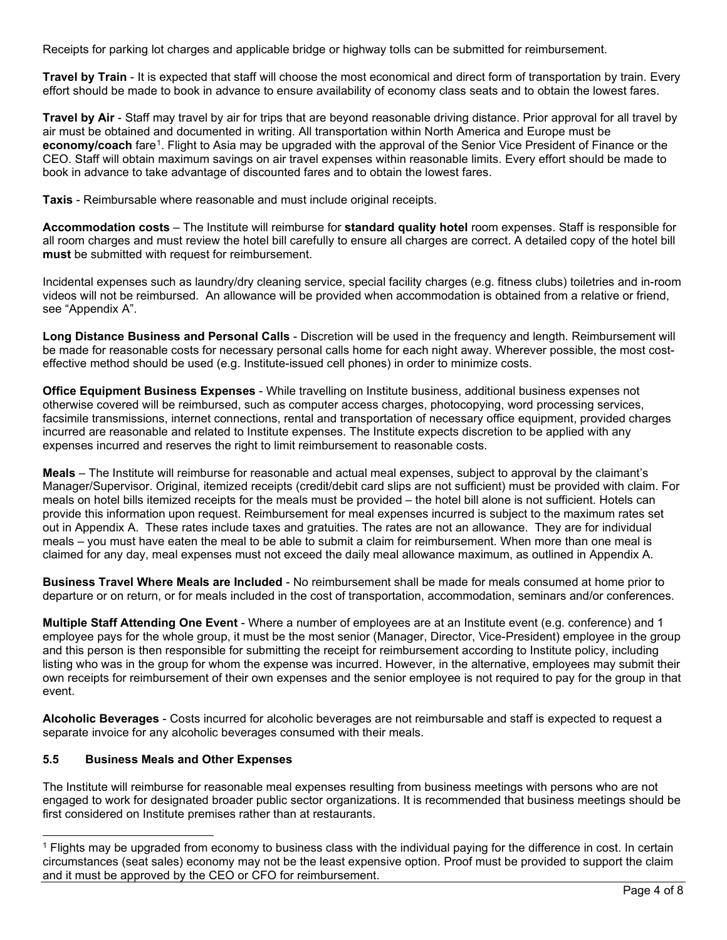Receipts for parking lot charges and applicable bridge or highway tolls can be submitted for reimbursement.

**Travel by Train** - It is expected that staff will choose the most economical and direct form of transportation by train. Every effort should be made to book in advance to ensure availability of economy class seats and to obtain the lowest fares.

**Travel by Air** - Staff may travel by air for trips that are beyond reasonable driving distance. Prior approval for all travel by air must be obtained and documented in writing. All transportation within North America and Europe must be **economy/coach** fare[1.](#page-3-0) Flight to Asia may be upgraded with the approval of the Senior Vice President of Finance or the CEO. Staff will obtain maximum savings on air travel expenses within reasonable limits. Every effort should be made to book in advance to take advantage of discounted fares and to obtain the lowest fares.

**Taxis** - Reimbursable where reasonable and must include original receipts.

**Accommodation costs** – The Institute will reimburse for **standard quality hotel** room expenses. Staff is responsible for all room charges and must review the hotel bill carefully to ensure all charges are correct. A detailed copy of the hotel bill **must** be submitted with request for reimbursement.

Incidental expenses such as laundry/dry cleaning service, special facility charges (e.g. fitness clubs) toiletries and in-room videos will not be reimbursed. An allowance will be provided when accommodation is obtained from a relative or friend, see "Appendix A".

**Long Distance Business and Personal Calls** - Discretion will be used in the frequency and length. Reimbursement will be made for reasonable costs for necessary personal calls home for each night away. Wherever possible, the most costeffective method should be used (e.g. Institute-issued cell phones) in order to minimize costs.

**Office Equipment Business Expenses** - While travelling on Institute business, additional business expenses not otherwise covered will be reimbursed, such as computer access charges, photocopying, word processing services, facsimile transmissions, internet connections, rental and transportation of necessary office equipment, provided charges incurred are reasonable and related to Institute expenses. The Institute expects discretion to be applied with any expenses incurred and reserves the right to limit reimbursement to reasonable costs.

**Meals** – The Institute will reimburse for reasonable and actual meal expenses, subject to approval by the claimant's Manager/Supervisor. Original, itemized receipts (credit/debit card slips are not sufficient) must be provided with claim. For meals on hotel bills itemized receipts for the meals must be provided – the hotel bill alone is not sufficient. Hotels can provide this information upon request. Reimbursement for meal expenses incurred is subject to the maximum rates set out in Appendix A. These rates include taxes and gratuities. The rates are not an allowance. They are for individual meals – you must have eaten the meal to be able to submit a claim for reimbursement. When more than one meal is claimed for any day, meal expenses must not exceed the daily meal allowance maximum, as outlined in Appendix A.

**Business Travel Where Meals are Included** - No reimbursement shall be made for meals consumed at home prior to departure or on return, or for meals included in the cost of transportation, accommodation, seminars and/or conferences.

**Multiple Staff Attending One Event** - Where a number of employees are at an Institute event (e.g. conference) and 1 employee pays for the whole group, it must be the most senior (Manager, Director, Vice-President) employee in the group and this person is then responsible for submitting the receipt for reimbursement according to Institute policy, including listing who was in the group for whom the expense was incurred. However, in the alternative, employees may submit their own receipts for reimbursement of their own expenses and the senior employee is not required to pay for the group in that event.

**Alcoholic Beverages** - Costs incurred for alcoholic beverages are not reimbursable and staff is expected to request a separate invoice for any alcoholic beverages consumed with their meals.

## **5.5 Business Meals and Other Expenses**

The Institute will reimburse for reasonable meal expenses resulting from business meetings with persons who are not engaged to work for designated broader public sector organizations. It is recommended that business meetings should be first considered on Institute premises rather than at restaurants.

<span id="page-3-0"></span><sup>1</sup> Flights may be upgraded from economy to business class with the individual paying for the difference in cost. In certain circumstances (seat sales) economy may not be the least expensive option. Proof must be provided to support the claim and it must be approved by the CEO or CFO for reimbursement.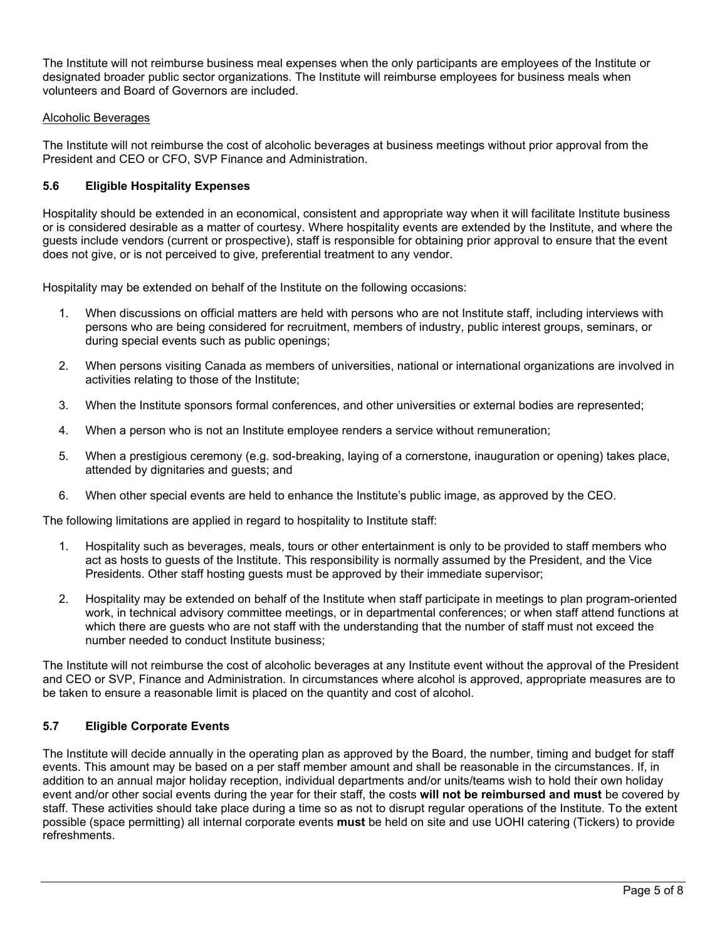The Institute will not reimburse business meal expenses when the only participants are employees of the Institute or designated broader public sector organizations. The Institute will reimburse employees for business meals when volunteers and Board of Governors are included.

### Alcoholic Beverages

The Institute will not reimburse the cost of alcoholic beverages at business meetings without prior approval from the President and CEO or CFO, SVP Finance and Administration.

## **5.6 Eligible Hospitality Expenses**

Hospitality should be extended in an economical, consistent and appropriate way when it will facilitate Institute business or is considered desirable as a matter of courtesy. Where hospitality events are extended by the Institute, and where the guests include vendors (current or prospective), staff is responsible for obtaining prior approval to ensure that the event does not give, or is not perceived to give, preferential treatment to any vendor.

Hospitality may be extended on behalf of the Institute on the following occasions:

- 1. When discussions on official matters are held with persons who are not Institute staff, including interviews with persons who are being considered for recruitment, members of industry, public interest groups, seminars, or during special events such as public openings;
- 2. When persons visiting Canada as members of universities, national or international organizations are involved in activities relating to those of the Institute;
- 3. When the Institute sponsors formal conferences, and other universities or external bodies are represented;
- 4. When a person who is not an Institute employee renders a service without remuneration;
- 5. When a prestigious ceremony (e.g. sod-breaking, laying of a cornerstone, inauguration or opening) takes place, attended by dignitaries and guests; and
- 6. When other special events are held to enhance the Institute's public image, as approved by the CEO.

The following limitations are applied in regard to hospitality to Institute staff:

- 1. Hospitality such as beverages, meals, tours or other entertainment is only to be provided to staff members who act as hosts to guests of the Institute. This responsibility is normally assumed by the President, and the Vice Presidents. Other staff hosting guests must be approved by their immediate supervisor;
- 2. Hospitality may be extended on behalf of the Institute when staff participate in meetings to plan program-oriented work, in technical advisory committee meetings, or in departmental conferences; or when staff attend functions at which there are guests who are not staff with the understanding that the number of staff must not exceed the number needed to conduct Institute business;

The Institute will not reimburse the cost of alcoholic beverages at any Institute event without the approval of the President and CEO or SVP, Finance and Administration. In circumstances where alcohol is approved, appropriate measures are to be taken to ensure a reasonable limit is placed on the quantity and cost of alcohol.

## **5.7 Eligible Corporate Events**

The Institute will decide annually in the operating plan as approved by the Board, the number, timing and budget for staff events. This amount may be based on a per staff member amount and shall be reasonable in the circumstances. If, in addition to an annual major holiday reception, individual departments and/or units/teams wish to hold their own holiday event and/or other social events during the year for their staff, the costs **will not be reimbursed and must** be covered by staff. These activities should take place during a time so as not to disrupt regular operations of the Institute. To the extent possible (space permitting) all internal corporate events **must** be held on site and use UOHI catering (Tickers) to provide refreshments.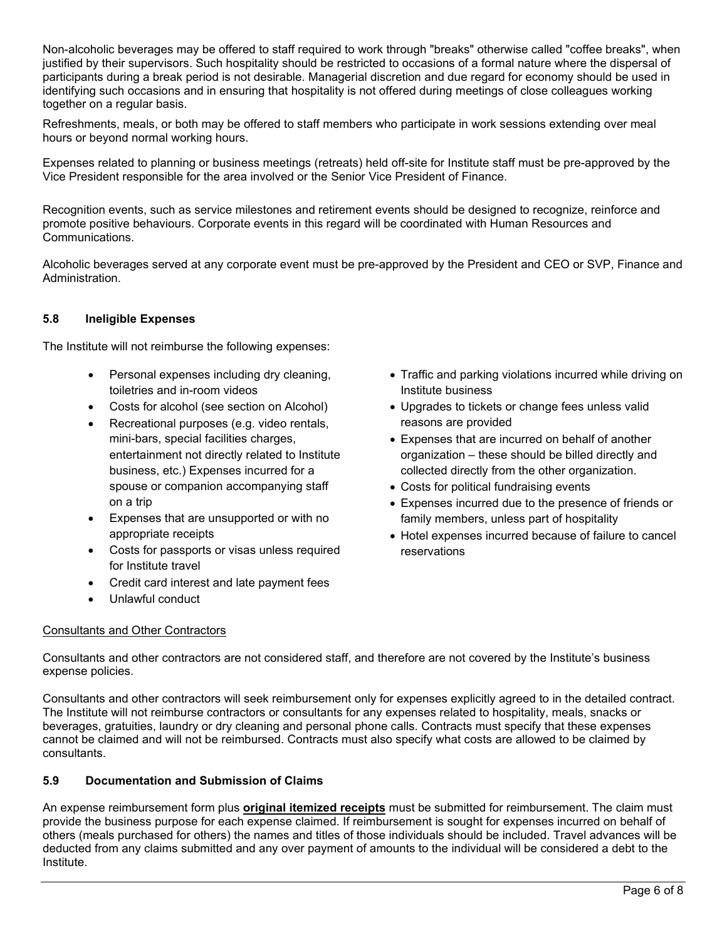Non-alcoholic beverages may be offered to staff required to work through "breaks" otherwise called "coffee breaks", when justified by their supervisors. Such hospitality should be restricted to occasions of a formal nature where the dispersal of participants during a break period is not desirable. Managerial discretion and due regard for economy should be used in identifying such occasions and in ensuring that hospitality is not offered during meetings of close colleagues working together on a regular basis.

Refreshments, meals, or both may be offered to staff members who participate in work sessions extending over meal hours or beyond normal working hours.

Expenses related to planning or business meetings (retreats) held off-site for Institute staff must be pre-approved by the Vice President responsible for the area involved or the Senior Vice President of Finance.

Recognition events, such as service milestones and retirement events should be designed to recognize, reinforce and promote positive behaviours. Corporate events in this regard will be coordinated with Human Resources and Communications.

Alcoholic beverages served at any corporate event must be pre-approved by the President and CEO or SVP, Finance and Administration.

## **5.8 Ineligible Expenses**

The Institute will not reimburse the following expenses:

- Personal expenses including dry cleaning, toiletries and in-room videos
- Costs for alcohol (see section on Alcohol)
- Recreational purposes (e.g. video rentals, mini-bars, special facilities charges, entertainment not directly related to Institute business, etc.) Expenses incurred for a spouse or companion accompanying staff on a trip
- Expenses that are unsupported or with no appropriate receipts
- Costs for passports or visas unless required for Institute travel
- Credit card interest and late payment fees
- Unlawful conduct

## Consultants and Other Contractors

- Traffic and parking violations incurred while driving on Institute business
- Upgrades to tickets or change fees unless valid reasons are provided
- Expenses that are incurred on behalf of another organization – these should be billed directly and collected directly from the other organization.
- Costs for political fundraising events
- Expenses incurred due to the presence of friends or family members, unless part of hospitality
- Hotel expenses incurred because of failure to cancel reservations

Consultants and other contractors are not considered staff, and therefore are not covered by the Institute's business expense policies.

Consultants and other contractors will seek reimbursement only for expenses explicitly agreed to in the detailed contract. The Institute will not reimburse contractors or consultants for any expenses related to hospitality, meals, snacks or beverages, gratuities, laundry or dry cleaning and personal phone calls. Contracts must specify that these expenses cannot be claimed and will not be reimbursed. Contracts must also specify what costs are allowed to be claimed by consultants.

## **5.9 Documentation and Submission of Claims**

An expense reimbursement form plus **original itemized receipts** must be submitted for reimbursement. The claim must provide the business purpose for each expense claimed. If reimbursement is sought for expenses incurred on behalf of others (meals purchased for others) the names and titles of those individuals should be included. Travel advances will be deducted from any claims submitted and any over payment of amounts to the individual will be considered a debt to the Institute.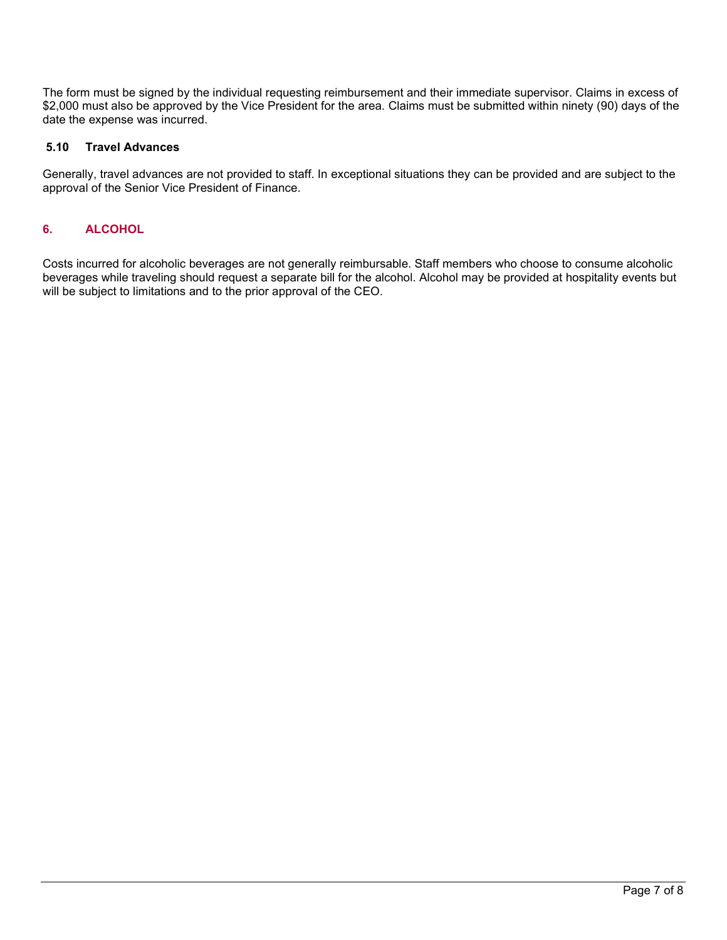The form must be signed by the individual requesting reimbursement and their immediate supervisor. Claims in excess of \$2,000 must also be approved by the Vice President for the area. Claims must be submitted within ninety (90) days of the date the expense was incurred.

# **5.10 Travel Advances**

Generally, travel advances are not provided to staff. In exceptional situations they can be provided and are subject to the approval of the Senior Vice President of Finance.

# **6. ALCOHOL**

Costs incurred for alcoholic beverages are not generally reimbursable. Staff members who choose to consume alcoholic beverages while traveling should request a separate bill for the alcohol. Alcohol may be provided at hospitality events but will be subject to limitations and to the prior approval of the CEO.